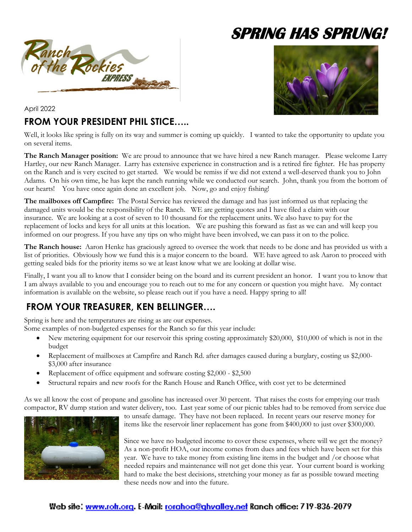

# **SPRING HAS SPRUNG!**



April 2022

### **FROM YOUR PRESIDENT PHIL STICE…..**

Well, it looks like spring is fully on its way and summer is coming up quickly. I wanted to take the opportunity to update you on several items.

**The Ranch Manager position:** We are proud to announce that we have hired a new Ranch manager. Please welcome Larry Hartley, our new Ranch Manager. Larry has extensive experience in construction and is a retired fire fighter. He has property on the Ranch and is very excited to get started. We would be remiss if we did not extend a well-deserved thank you to John Adams. On his own time, he has kept the ranch running while we conducted our search. John, thank you from the bottom of our hearts! You have once again done an excellent job. Now, go and enjoy fishing!

**The mailboxes off Campfire:** The Postal Service has reviewed the damage and has just informed us that replacing the damaged units would be the responsibility of the Ranch. WE are getting quotes and I have filed a claim with our insurance. We are looking at a cost of seven to 10 thousand for the replacement units. We also have to pay for the replacement of locks and keys for all units at this location. We are pushing this forward as fast as we can and will keep you informed on our progress. If you have any tips on who might have been involved, we can pass it on to the police.

**The Ranch house:** Aaron Henke has graciously agreed to oversee the work that needs to be done and has provided us with a list of priorities. Obviously how we fund this is a major concern to the board. WE have agreed to ask Aaron to proceed with getting sealed bids for the priority items so we at least know what we are looking at dollar wise.

Finally, I want you all to know that I consider being on the board and its current president an honor. I want you to know that I am always available to you and encourage you to reach out to me for any concern or question you might have. My contact information is available on the website, so please reach out if you have a need. Happy spring to all!

# **FROM YOUR TREASURER, KEN BELLINGER….**

Spring is here and the temperatures are rising as are our expenses.

Some examples of non-budgeted expenses for the Ranch so far this year include:

- New metering equipment for our reservoir this spring costing approximately \$20,000, \$10,000 of which is not in the budget
- Replacement of mailboxes at Campfire and Ranch Rd. after damages caused during a burglary, costing us \$2,000- \$3,000 after insurance
- Replacement of office equipment and software costing \$2,000 \$2,500
- Structural repairs and new roofs for the Ranch House and Ranch Office, with cost yet to be determined

As we all know the cost of propane and gasoline has increased over 30 percent. That raises the costs for emptying our trash compactor, RV dump station and water delivery, too. Last year some of our picnic tables had to be removed from service due



to unsafe damage. They have not been replaced. In recent years our reserve money for items like the reservoir liner replacement has gone from \$400,000 to just over \$300,000.

Since we have no budgeted income to cover these expenses, where will we get the money? As a non-profit HOA, our income comes from dues and fees which have been set for this year. We have to take money from existing line items in the budget and /or choose what needed repairs and maintenance will not get done this year. Your current board is working hard to make the best decisions, stretching your money as far as possible toward meeting these needs now and into the future.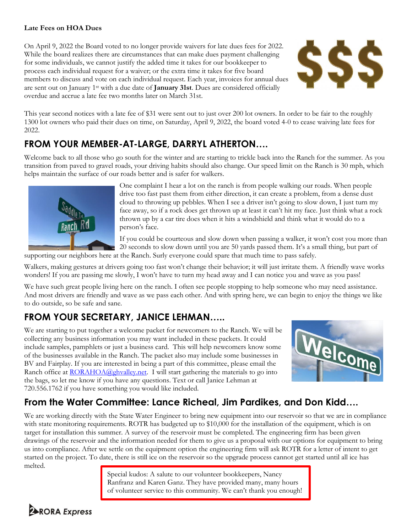#### **Late Fees on HOA Dues**

On April 9, 2022 the Board voted to no longer provide waivers for late dues fees for 2022. While the board realizes there are circumstances that can make dues payment challenging for some individuals, we cannot justify the added time it takes for our bookkeeper to process each individual request for a waiver; or the extra time it takes for five board members to discuss and vote on each individual request. Each year, invoices for annual dues are sent out on January 1st with a due date of **January 31st**. Dues are considered officially overdue and accrue a late fee two months later on March 31st.



This year second notices with a late fee of \$31 were sent out to just over 200 lot owners. In order to be fair to the roughly 1300 lot owners who paid their dues on time, on Saturday, April 9, 2022, the board voted 4-0 to cease waiving late fees for 2022.

## **FROM YOUR MEMBER-AT-LARGE, DARRYL ATHERTON….**

Welcome back to all those who go south for the winter and are starting to trickle back into the Ranch for the summer. As you transition from paved to gravel roads, your driving habits should also change. Our speed limit on the Ranch is 30 mph, which helps maintain the surface of our roads better and is safer for walkers.



One complaint I hear a lot on the ranch is from people walking our roads. When people drive too fast past them from either direction, it can create a problem, from a dense dust cloud to throwing up pebbles. When I see a driver isn't going to slow down, I just turn my face away, so if a rock does get thrown up at least it can't hit my face. Just think what a rock thrown up by a car tire does when it hits a windshield and think what it would do to a person's face.

If you could be courteous and slow down when passing a walker, it won't cost you more than 20 seconds to slow down until you are 50 yards passed them. It's a small thing, but part of

supporting our neighbors here at the Ranch. Surly everyone could spare that much time to pass safely.

Walkers, making gestures at drivers going too fast won't change their behavior; it will just irritate them. A friendly wave works wonders! If you are passing me slowly, I won't have to turn my head away and I can notice you and wave as you pass!

We have such great people living here on the ranch. I often see people stopping to help someone who may need assistance. And most drivers are friendly and wave as we pass each other. And with spring here, we can begin to enjoy the things we like to do outside, so be safe and sane.

## **FROM YOUR SECRETARY, JANICE LEHMAN…..**

We are starting to put together a welcome packet for newcomers to the Ranch. We will be collecting any business information you may want included in these packets. It could include samples, pamphlets or just a business card. This will help newcomers know some of the businesses available in the Ranch. The packet also may include some businesses in BV and Fairplay. If you are interested in being a part of this committee, please email the Ranch office at  $\underline{RORAHOA}\overline{Qg}bvalley.net$ . I will start gathering the materials to go into the bags, so let me know if you have any questions. Text or call Janice Lehman at 720.556.1762 if you have something you would like included.



### **From the Water Committee: Lance Richeal, Jim Pardikes, and Don Kidd….**

We are working directly with the State Water Engineer to bring new equipment into our reservoir so that we are in compliance with state monitoring requirements. ROTR has budgeted up to \$10,000 for the installation of the equipment, which is on target for installation this summer. A survey of the reservoir must be completed. The engineering firm has been given drawings of the reservoir and the information needed for them to give us a proposal with our options for equipment to bring us into compliance. After we settle on the equipment option the engineering firm will ask ROTR for a letter of intent to get started on the project. To date, there is still ice on the reservoir so the upgrade process cannot get started until all ice has melted.

> Special kudos: A salute to our volunteer bookkeepers, Nancy Ranfranz and Karen Ganz. They have provided many, many hours of volunteer service to this community. We can't thank you enough!

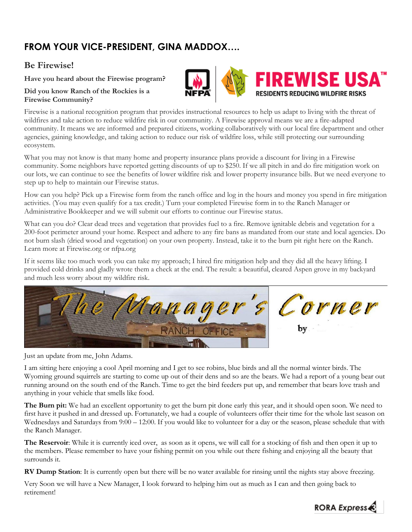# **FROM YOUR VICE-PRESIDENT, GINA MADDOX….**

#### **Be Firewise!**

**Have you heard about the Firewise program?** 

#### **Did you know Ranch of the Rockies is a Firewise Community?**

Firewise is a national recognition program that provides instructional resources to help us adapt to living with the threat of wildfires and take action to reduce wildfire risk in our community. A Firewise approval means we are a fire-adapted community. It means we are informed and prepared citizens, working collaboratively with our local fire department and other agencies, gaining knowledge, and taking action to reduce our risk of wildfire loss, while still protecting our surrounding ecosystem.

What you may not know is that many home and property insurance plans provide a discount for living in a Firewise community. Some neighbors have reported getting discounts of up to \$250. If we all pitch in and do fire mitigation work on our lots, we can continue to see the benefits of lower wildfire risk and lower property insurance bills. But we need everyone to step up to help to maintain our Firewise status.

How can you help? Pick up a Firewise form from the ranch office and log in the hours and money you spend in fire mitigation activities. (You may even qualify for a tax credit.) Turn your completed Firewise form in to the Ranch Manager or Administrative Bookkeeper and we will submit our efforts to continue our Firewise status.

What can you do? Clear dead trees and vegetation that provides fuel to a fire. Remove ignitable debris and vegetation for a 200-foot perimeter around your home. Respect and adhere to any fire bans as mandated from our state and local agencies. Do not burn slash (dried wood and vegetation) on your own property. Instead, take it to the burn pit right here on the Ranch. Learn more at Firewise.org or nfpa.org

If it seems like too much work you can take my approach; I hired fire mitigation help and they did all the heavy lifting. I provided cold drinks and gladly wrote them a check at the end. The result: a beautiful, cleared Aspen grove in my backyard and much less worry about my wildfire risk.



Just an update from me, John Adams.

I am sitting here enjoying a cool April morning and I get to see robins, blue birds and all the normal winter birds. The Wyoming ground squirrels are starting to come up out of their dens and so are the bears. We had a report of a young bear out running around on the south end of the Ranch. Time to get the bird feeders put up, and remember that bears love trash and anything in your vehicle that smells like food.

**The Burn pit:** We had an excellent opportunity to get the burn pit done early this year, and it should open soon. We need to first have it pushed in and dressed up. Fortunately, we had a couple of volunteers offer their time for the whole last season on Wednesdays and Saturdays from 9:00 – 12:00. If you would like to volunteer for a day or the season, please schedule that with the Ranch Manager.

**The Reservoir**: While it is currently iced over, as soon as it opens, we will call for a stocking of fish and then open it up to the members. Please remember to have your fishing permit on you while out there fishing and enjoying all the beauty that surrounds it.

**RV Dump Station**: It is currently open but there will be no water available for rinsing until the nights stay above freezing.

Very Soon we will have a New Manager, I look forward to helping him out as much as I can and then going back to retirement!